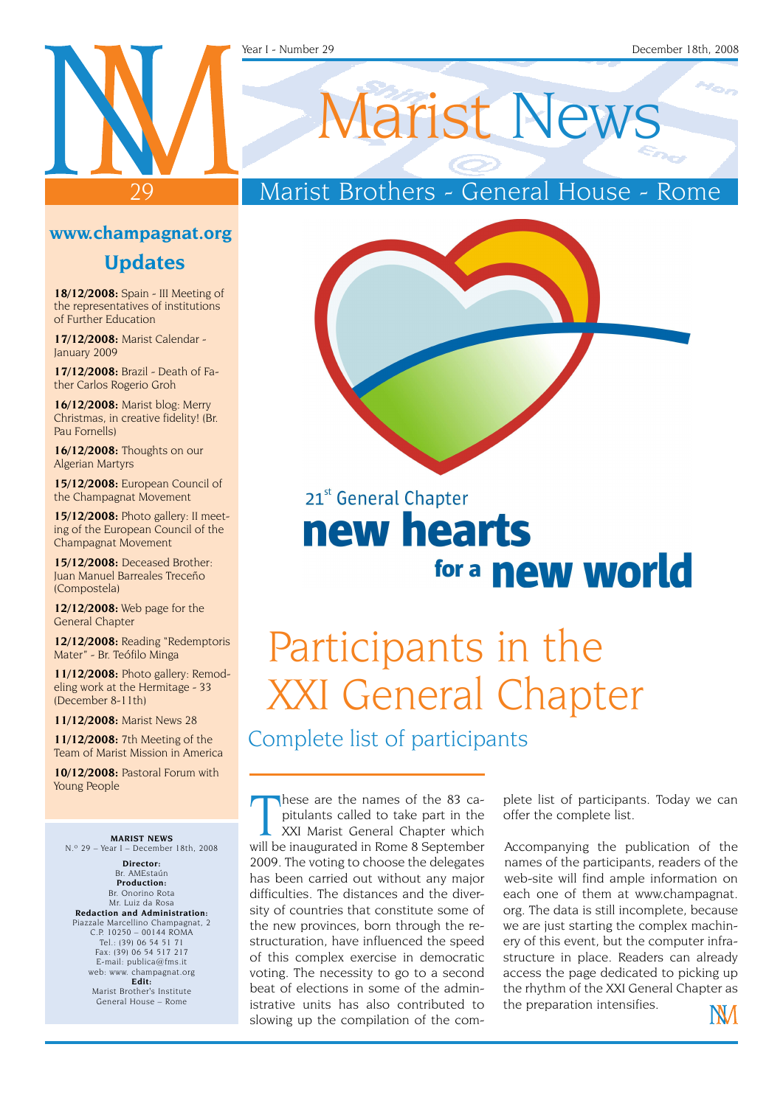#### Year I - Number 29 December 18th, 2008

#### **www.champagnat.org**

 $\overline{O}$ 

#### **Updates**

**18/12/2008:** Spain - III Meeting of the representatives of institutions of Further Education

**17/12/2008:** Marist Calendar - January 2009

**17/12/2008:** Brazil - Death of Father Carlos Rogerio Groh

**16/12/2008:** Marist blog: Merry Christmas, in creative fidelity! (Br. Pau Fornells)

**16/12/2008:** Thoughts on our Algerian Martyrs

**15/12/2008:** European Council of the Champagnat Movement

**15/12/2008:** Photo gallery: II meeting of the European Council of the Champagnat Movement

**15/12/2008:** Deceased Brother: Juan Manuel Barreales Treceño (Compostela)

**12/12/2008:** Web page for the General Chapter

**12/12/2008:** Reading "Redemptoris Mater" - Br. Teófilo Minga

**11/12/2008:** Photo gallery: Remodeling work at the Hermitage - 33 (December 8-11th)

**11/12/2008:** Marist News 28

**11/12/2008:** 7th Meeting of the Team of Marist Mission in America

**10/12/2008:** Pastoral Forum with Young People

**MARIST NEWS** N.º 29 – Year I – December 18th, 2008

**Director:** Br. AMEstaún **Production:** Br. Onorino Rota Mr. Luiz da Rosa **Redaction and Administration:** Piazzale Marcellino Champagnat, 2 C.P. 10250 – 00144 ROMA Tel.: (39) 06 54 51 71 Fax: (39) 06 54 517 217 E-mail: publica@fms.it web: www. champagnat.org **Edit:** Marist Brother's Institute General House – Rome

# Marist News

### Marist Brothers - General House - Rome



## 21st General Chapter new hearts for a **new world**

# Participants in the XXI General Chapter

Complete list of participants

hese are the names of the 83 capitulants called to take part in the XXI Marist General Chapter which will be inaugurated in Rome 8 September hese are the names of the 83 capitulants called to take part in the XXI Marist General Chapter which 2009. The voting to choose the delegates has been carried out without any major difficulties. The distances and the diversity of countries that constitute some of the new provinces, born through the restructuration, have influenced the speed of this complex exercise in democratic voting. The necessity to go to a second beat of elections in some of the administrative units has also contributed to slowing up the compilation of the com-

plete list of participants. Today we can offer the complete list.

Accompanying the publication of the names of the participants, readers of the web-site will find ample information on each one of them at www.champagnat. org. The data is still incomplete, because we are just starting the complex machinery of this event, but the computer infrastructure in place. Readers can already access the page dedicated to picking up the rhythm of the XXI General Chapter as the preparation intensifies.

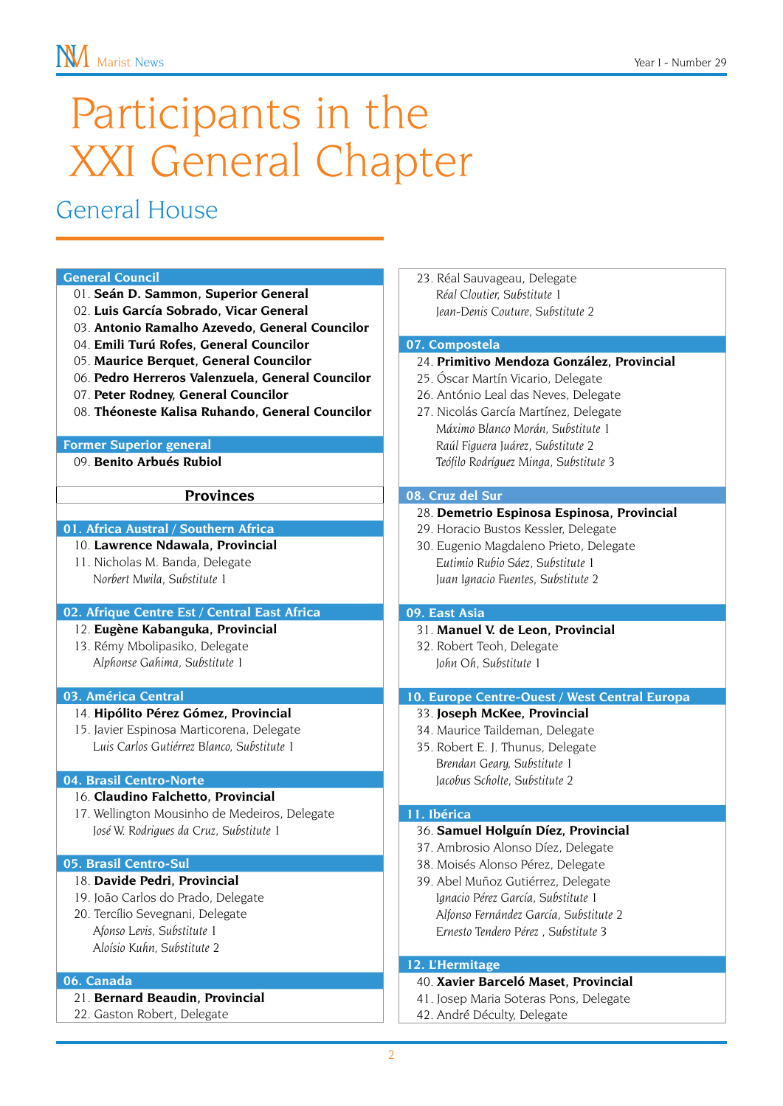# Participants in the XXI General Chapter

### General House

#### **General Council**

- 01. **Seán D. Sammon, Superior General**
- 02. **Luis García Sobrado, Vicar General**
- 03. **Antonio Ramalho Azevedo, General Councilor**
- 04. **Emili Turú Rofes, General Councilor**
- 05. **Maurice Berquet, General Councilor**
- 06. **Pedro Herreros Valenzuela, General Councilor**
- 07. **Peter Rodney, General Councilor**
- 08. **Théoneste Kalisa Ruhando, General Councilor**

#### **Former Superior general**

09. **Benito Arbués Rubiol**

#### **Provinces**

#### **01. Africa Austral / Southern Africa**

10. **Lawrence Ndawala, Provincial**

11. Nicholas M. Banda, Delegate *Norbert Mwila, Substitute 1*

#### **02. Afrique Centre Est / Central East Africa**

- 12. **Eugène Kabanguka, Provincial**
- 13. Rémy Mbolipasiko, Delegate *Alphonse Gahima, Substitute 1*

#### **03. América Central**

- 14. **Hipólito Pérez Gómez, Provincial**
- 15. Javier Espinosa Marticorena, Delegate *Luis Carlos Gutiérrez Blanco, Substitute 1*

#### **04. Brasil Centro-Norte**

#### 16. **Claudino Falchetto, Provincial**

17. Wellington Mousinho de Medeiros, Delegate *José W. Rodrigues da Cruz, Substitute 1*

#### **05. Brasil Centro-Sul**

#### 18. **Davide Pedri, Provincial**

- 19. João Carlos do Prado, Delegate
- 20. Tercílio Sevegnani, Delegate *Afonso Levis, Substitute 1 Aloísio Kuhn, Substitute 2*

#### **06. Canada**

- 21. **Bernard Beaudin, Provincial**
- 22. Gaston Robert, Delegate

23. Réal Sauvageau, Delegate *Réal Cloutier, Substitute 1 Jean-Denis Couture, Substitute 2*

#### **07. Compostela**

- 24. **Primitivo Mendoza González, Provincial**
- 25. Óscar Martín Vicario, Delegate
- 26. António Leal das Neves, Delegate
- 27. Nicolás García Martínez, Delegate *Máximo Blanco Morán, Substitute 1 Raúl Figuera Juárez, Substitute 2 Teófilo Rodríguez Minga, Substitute 3*

#### **08. Cruz del Sur**

#### 28. **Demetrio Espinosa Espinosa, Provincial**

- 29. Horacio Bustos Kessler, Delegate
- 30. Eugenio Magdaleno Prieto, Delegate *Eutimio Rubio Sáez, Substitute 1 Juan Ignacio Fuentes, Substitute 2*

#### **09. East Asia**

- 31. **Manuel V. de Leon, Provincial**
- 32. Robert Teoh, Delegate *John Oh, Substitute 1*

#### **10. Europe Centre-Ouest / West Central Europa**

- 33. **Joseph McKee, Provincial**
- 34. Maurice Taildeman, Delegate
- 35. Robert E. J. Thunus, Delegate *Brendan Geary, Substitute 1 Jacobus Scholte, Substitute 2*

#### **11. Ibérica**

- 36. **Samuel Holguín Díez, Provincial**
- 37. Ambrosio Alonso Díez, Delegate
- 38. Moisés Alonso Pérez, Delegate
- 39. Abel Muñoz Gutiérrez, Delegate *Ignacio Pérez García, Substitute 1 Alfonso Fernández García, Substitute 2 Ernesto Tendero Pérez , Substitute 3*

#### **12. L'Hermitage**

- 40. **Xavier Barceló Maset, Provincial**
- 41. Josep Maria Soteras Pons, Delegate
- 42. André Déculty, Delegate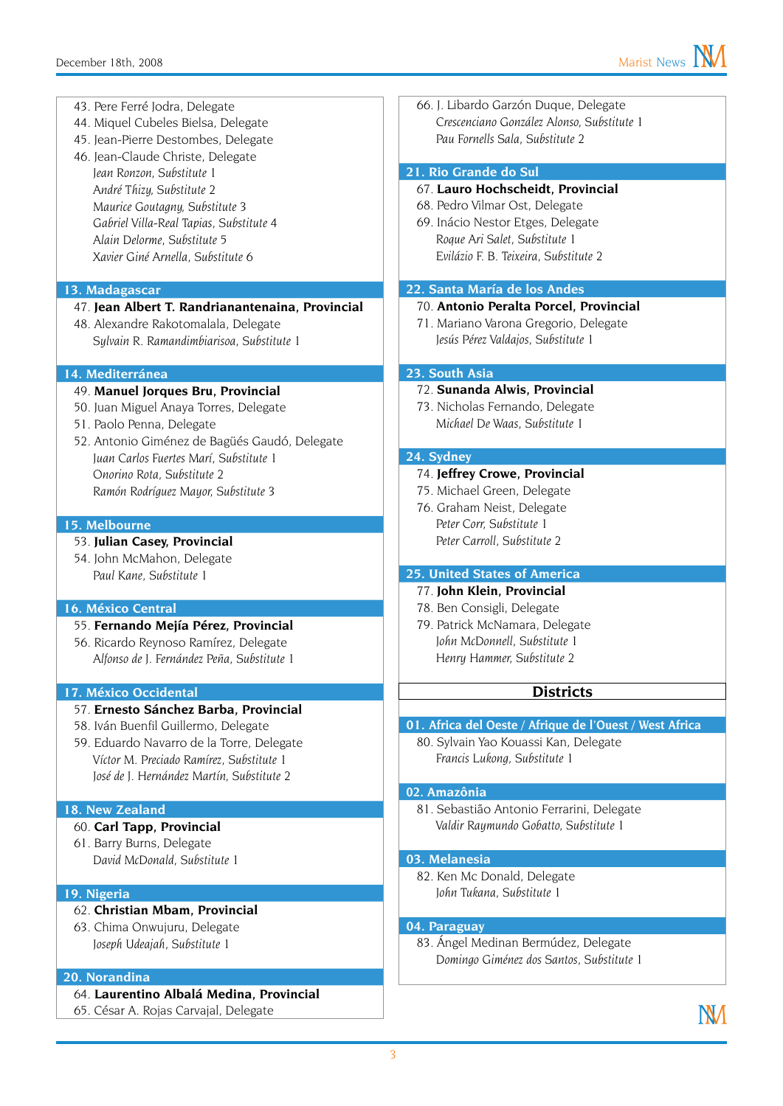44. Miquel Cubeles Bielsa, Delegate 45. Jean-Pierre Destombes, Delegate 46. Jean-Claude Christe, Delegate *Jean Ronzon, Substitute 1 André Thizy, Substitute 2 Maurice Goutagny, Substitute 3 Gabriel Villa-Real Tapias, Substitute 4 Alain Delorme, Substitute 5*

*Xavier Giné Arnella, Substitute 6*

43. Pere Ferré Jodra, Delegate

#### **13. Madagascar**

#### 47. **Jean Albert T. Randrianantenaina, Provincial**

48. Alexandre Rakotomalala, Delegate *Sylvain R. Ramandimbiarisoa, Substitute 1*

#### **14. Mediterránea**

- 49. **Manuel Jorques Bru, Provincial**
- 50. Juan Miguel Anaya Torres, Delegate
- 51. Paolo Penna, Delegate
- 52. Antonio Giménez de Bagüés Gaudó, Delegate *Juan Carlos Fuertes Marí, Substitute 1 Onorino Rota, Substitute 2 Ramón Rodríguez Mayor, Substitute 3*

#### **15. Melbourne**

#### 53. **Julian Casey, Provincial**

54. John McMahon, Delegate *Paul Kane, Substitute 1*

#### **16. México Central**

- 55. **Fernando Mejía Pérez, Provincial**
- 56. Ricardo Reynoso Ramírez, Delegate *Alfonso de J. Fernández Peña, Substitute 1*

#### **17. México Occidental**

#### 57. **Ernesto Sánchez Barba, Provincial**

- 58. Iván Buenfil Guillermo, Delegate
- 59. Eduardo Navarro de la Torre, Delegate *Víctor M. Preciado Ramírez, Substitute 1 José de J. Hernández Martín, Substitute 2*

#### **18. New Zealand**

- 60. **Carl Tapp, Provincial**
- 61. Barry Burns, Delegate *David McDonald, Substitute 1*

#### **19. Nigeria**

#### 62. **Christian Mbam, Provincial**

63. Chima Onwujuru, Delegate *Joseph Udeajah, Substitute 1*

#### **20. Norandina**

- 64. **Laurentino Albalá Medina, Provincial**
- 65. César A. Rojas Carvajal, Delegate

66. J. Libardo Garzón Duque, Delegate *Crescenciano González Alonso, Substitute 1 Pau Fornells Sala, Substitute 2*

#### **21. Rio Grande do Sul**

#### 67. **Lauro Hochscheidt, Provincial**

- 68. Pedro Vilmar Ost, Delegate
- 69. Inácio Nestor Etges, Delegate *Roque Ari Salet, Substitute 1 Evilázio F. B. Teixeira, Substitute 2*

#### **22. Santa María de los Andes**

#### 70. **Antonio Peralta Porcel, Provincial**

71. Mariano Varona Gregorio, Delegate *Jesús Pérez Valdajos, Substitute 1*

#### **23. South Asia**

- 72. **Sunanda Alwis, Provincial**
- 73. Nicholas Fernando, Delegate *Michael De Waas, Substitute 1*

#### **24. Sydney**

#### 74. **Jeffrey Crowe, Provincial**

- 75. Michael Green, Delegate
- 76. Graham Neist, Delegate *Peter Corr, Substitute 1 Peter Carroll, Substitute 2*

#### **25. United States of America**

#### 77. **John Klein, Provincial**

- 78. Ben Consigli, Delegate
- 79. Patrick McNamara, Delegate *John McDonnell, Substitute 1 Henry Hammer, Substitute 2*

#### **Districts**

- **01. Africa del Oeste / Afrique de l'Ouest / West Africa**
	- 80. Sylvain Yao Kouassi Kan, Delegate *Francis Lukong, Substitute 1*

#### **02. Amazônia**

81. Sebastião Antonio Ferrarini, Delegate *Valdir Raymundo Gobatto, Substitute 1*

#### **03. Melanesia**

82. Ken Mc Donald, Delegate *John Tukana, Substitute 1*

#### **04. Paraguay**

83. Ángel Medinan Bermúdez, Delegate *Domingo Giménez dos Santos, Substitute 1*